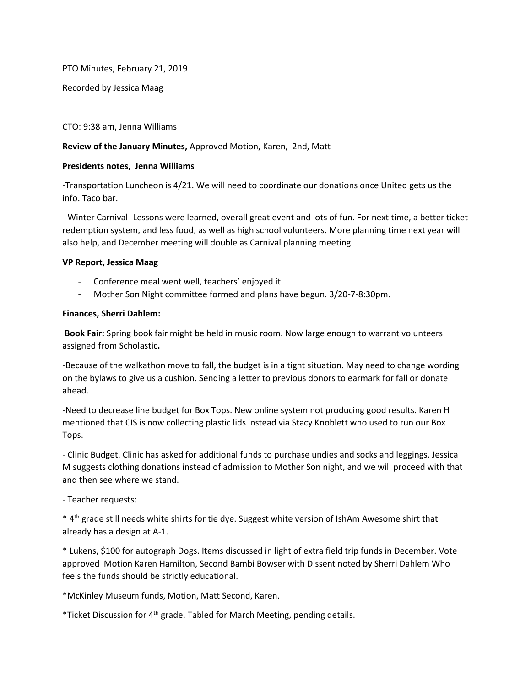PTO Minutes, February 21, 2019

Recorded by Jessica Maag

CTO: 9:38 am, Jenna Williams

## **Review of the January Minutes,** Approved Motion, Karen, 2nd, Matt

### **Presidents notes, Jenna Williams**

-Transportation Luncheon is 4/21. We will need to coordinate our donations once United gets us the info. Taco bar.

- Winter Carnival- Lessons were learned, overall great event and lots of fun. For next time, a better ticket redemption system, and less food, as well as high school volunteers. More planning time next year will also help, and December meeting will double as Carnival planning meeting.

### **VP Report, Jessica Maag**

- Conference meal went well, teachers' enjoyed it.
- Mother Son Night committee formed and plans have begun. 3/20-7-8:30pm.

### **Finances, Sherri Dahlem:**

**Book Fair:** Spring book fair might be held in music room. Now large enough to warrant volunteers assigned from Scholastic**.** 

-Because of the walkathon move to fall, the budget is in a tight situation. May need to change wording on the bylaws to give us a cushion. Sending a letter to previous donors to earmark for fall or donate ahead.

-Need to decrease line budget for Box Tops. New online system not producing good results. Karen H mentioned that CIS is now collecting plastic lids instead via Stacy Knoblett who used to run our Box Tops.

- Clinic Budget. Clinic has asked for additional funds to purchase undies and socks and leggings. Jessica M suggests clothing donations instead of admission to Mother Son night, and we will proceed with that and then see where we stand.

# - Teacher requests:

\* 4th grade still needs white shirts for tie dye. Suggest white version of IshAm Awesome shirt that already has a design at A-1.

\* Lukens, \$100 for autograph Dogs. Items discussed in light of extra field trip funds in December. Vote approved Motion Karen Hamilton, Second Bambi Bowser with Dissent noted by Sherri Dahlem Who feels the funds should be strictly educational.

\*McKinley Museum funds, Motion, Matt Second, Karen.

\*Ticket Discussion for 4th grade. Tabled for March Meeting, pending details.